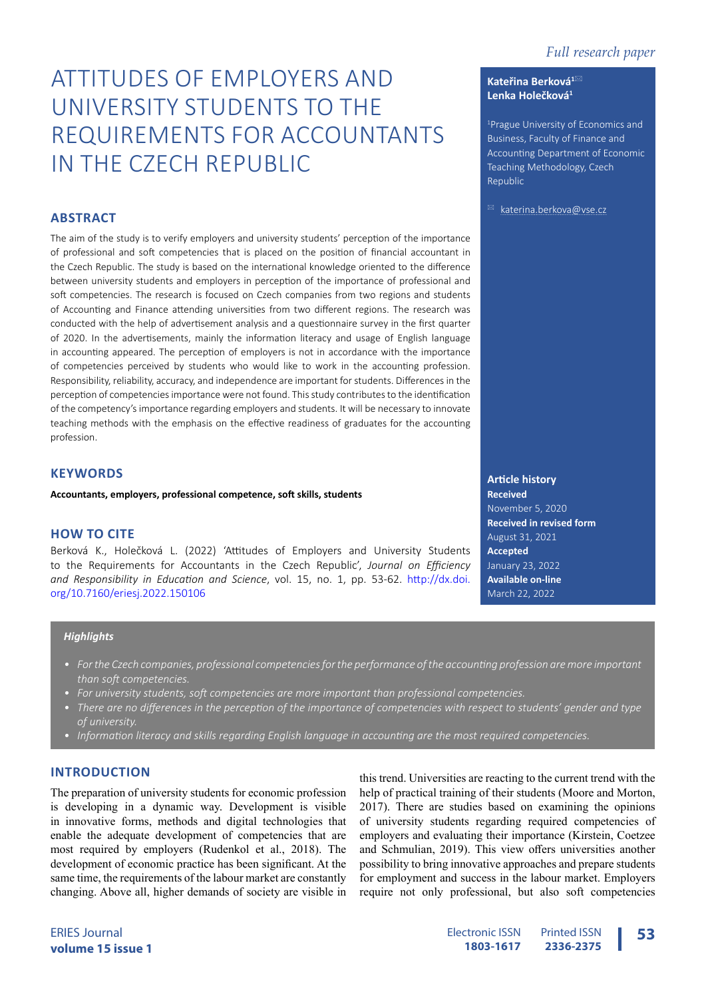**Kateřina Berková<sup>1</sup>**\* **Lenka Holečková<sup>1</sup>**

Republic

1 Prague University of Economics and Business, Faculty of Finance and Accounting Department of Economic Teaching Methodology, Czech

 $\boxtimes$  [katerina.berkova@vse.cz](mailto:katerina.berkova%40vse.cz?subject=)

# ATTITUDES OF EMPLOYERS AND UNIVERSITY STUDENTS TO THE REQUIREMENTS FOR ACCOUNTANTS IN THE CZECH REPUBLIC

# **ABSTRACT**

The aim of the study is to verify employers and university students' perception of the importance of professional and soft competencies that is placed on the position of financial accountant in the Czech Republic. The study is based on the international knowledge oriented to the difference between university students and employers in perception of the importance of professional and soft competencies. The research is focused on Czech companies from two regions and students of Accounting and Finance attending universities from two different regions. The research was conducted with the help of advertisement analysis and a questionnaire survey in the first quarter of 2020. In the advertisements, mainly the information literacy and usage of English language in accounting appeared. The perception of employers is not in accordance with the importance of competencies perceived by students who would like to work in the accounting profession. Responsibility, reliability, accuracy, and independence are important for students. Differences in the perception of competencies importance were not found. This study contributes to the identification of the competency's importance regarding employers and students. It will be necessary to innovate teaching methods with the emphasis on the effective readiness of graduates for the accounting profession.

# **KEYWORDS**

**Accountants, employers, professional competence, soft skills, students**

## **HOW TO CITE**

Berková K., Holečková L. (2022) 'Attitudes of Employers and University Students to the Requirements for Accountants in the Czech Republic', *Journal on Efficiency and Responsibility in Education and Science*, vol. 15, no. 1, pp. 53-62. [http://dx.doi.](http://dx.doi.org/10.7160/eriesj.2022.150106) [org/10.7160/eriesj.2022.150106](http://dx.doi.org/10.7160/eriesj.2022.150106)

#### *Highlights*

- *• For the Czech companies, professional competencies for the performance of the accounting profession are more important than soft competencies.*
- *• For university students, soft competencies are more important than professional competencies.*
- *• There are no differences in the perception of the importance of competencies with respect to students' gender and type of university.*
- *• Information literacy and skills regarding English language in accounting are the most required competencies.*

# **INTRODUCTION**

The preparation of university students for economic profession is developing in a dynamic way. Development is visible in innovative forms, methods and digital technologies that enable the adequate development of competencies that are most required by employers (Rudenkol et al., 2018). The development of economic practice has been significant. At the same time, the requirements of the labour market are constantly changing. Above all, higher demands of society are visible in

this trend. Universities are reacting to the current trend with the help of practical training of their students (Moore and Morton, 2017). There are studies based on examining the opinions of university students regarding required competencies of employers and evaluating their importance (Kirstein, Coetzee and Schmulian, 2019). This view offers universities another possibility to bring innovative approaches and prepare students for employment and success in the labour market. Employers require not only professional, but also soft competencies

**Article history Received** November 5, 2020 **Received in revised form** August 31, 2021 **Accepted** January 23, 2022 **Available on-line** March 22, 2022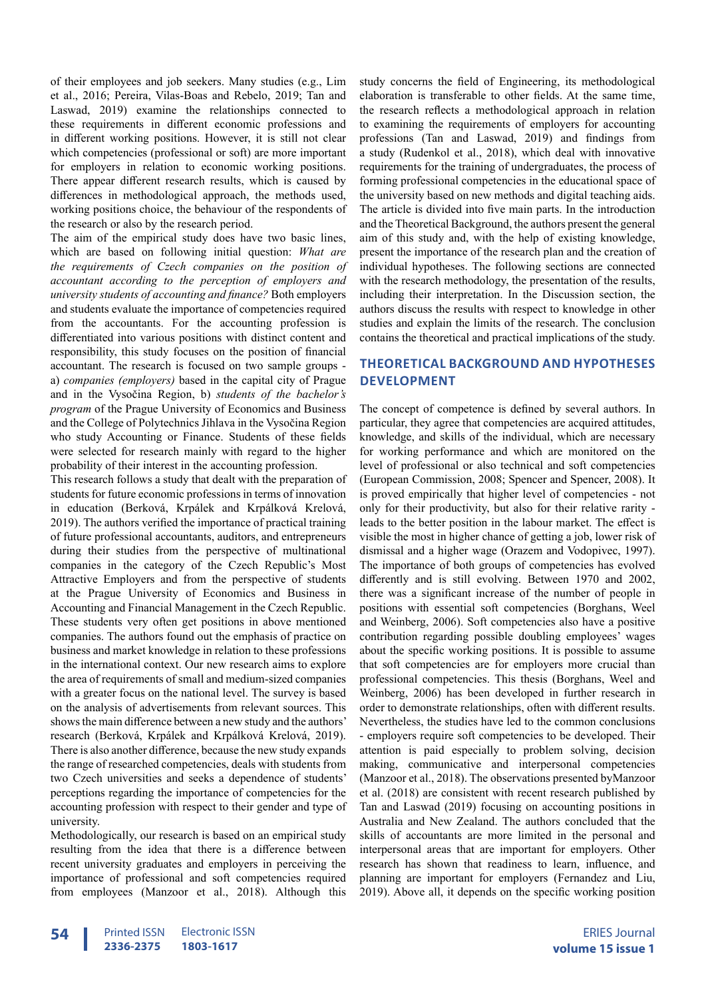of their employees and job seekers. Many studies (e.g., Lim et al., 2016; Pereira, Vilas-Boas and Rebelo, 2019; Tan and Laswad, 2019) examine the relationships connected to these requirements in different economic professions and in different working positions. However, it is still not clear which competencies (professional or soft) are more important for employers in relation to economic working positions. There appear different research results, which is caused by differences in methodological approach, the methods used, working positions choice, the behaviour of the respondents of the research or also by the research period.

The aim of the empirical study does have two basic lines, which are based on following initial question: *What are the requirements of Czech companies on the position of accountant according to the perception of employers and university students of accounting and finance?* Both employers and students evaluate the importance of competencies required from the accountants. For the accounting profession is differentiated into various positions with distinct content and responsibility, this study focuses on the position of financial accountant. The research is focused on two sample groups a) *companies (employers)* based in the capital city of Prague and in the Vysočina Region, b) *students of the bachelor's program* of the Prague University of Economics and Business and the College of Polytechnics Jihlava in the Vysočina Region who study Accounting or Finance. Students of these fields were selected for research mainly with regard to the higher probability of their interest in the accounting profession.

This research follows a study that dealt with the preparation of students for future economic professions in terms of innovation in education (Berková, Krpálek and Krpálková Krelová, 2019). The authors verified the importance of practical training of future professional accountants, auditors, and entrepreneurs during their studies from the perspective of multinational companies in the category of the Czech Republic's Most Attractive Employers and from the perspective of students at the Prague University of Economics and Business in Accounting and Financial Management in the Czech Republic. These students very often get positions in above mentioned companies. The authors found out the emphasis of practice on business and market knowledge in relation to these professions in the international context. Our new research aims to explore the area of requirements of small and medium-sized companies with a greater focus on the national level. The survey is based on the analysis of advertisements from relevant sources. This shows the main difference between a new study and the authors' research (Berková, Krpálek and Krpálková Krelová, 2019). There is also another difference, because the new study expands the range of researched competencies, deals with students from two Czech universities and seeks a dependence of students' perceptions regarding the importance of competencies for the accounting profession with respect to their gender and type of university.

Methodologically, our research is based on an empirical study resulting from the idea that there is a difference between recent university graduates and employers in perceiving the importance of professional and soft competencies required from employees (Manzoor et al., 2018). Although this

study concerns the field of Engineering, its methodological elaboration is transferable to other fields. At the same time, the research reflects a methodological approach in relation to examining the requirements of employers for accounting professions (Tan and Laswad, 2019) and findings from a study (Rudenkol et al., 2018), which deal with innovative requirements for the training of undergraduates, the process of forming professional competencies in the educational space of the university based on new methods and digital teaching aids. The article is divided into five main parts. In the introduction and the Theoretical Background, the authors present the general aim of this study and, with the help of existing knowledge, present the importance of the research plan and the creation of individual hypotheses. The following sections are connected with the research methodology, the presentation of the results, including their interpretation. In the Discussion section, the authors discuss the results with respect to knowledge in other studies and explain the limits of the research. The conclusion contains the theoretical and practical implications of the study.

# **THEORETICAL BACKGROUND AND HYPOTHESES DEVELOPMENT**

The concept of competence is defined by several authors. In particular, they agree that competencies are acquired attitudes, knowledge, and skills of the individual, which are necessary for working performance and which are monitored on the level of professional or also technical and soft competencies (European Commission, 2008; Spencer and Spencer, 2008). It is proved empirically that higher level of competencies - not only for their productivity, but also for their relative rarity leads to the better position in the labour market. The effect is visible the most in higher chance of getting a job, lower risk of dismissal and a higher wage (Orazem and Vodopivec, 1997). The importance of both groups of competencies has evolved differently and is still evolving. Between 1970 and 2002, there was a significant increase of the number of people in positions with essential soft competencies (Borghans, Weel and Weinberg, 2006). Soft competencies also have a positive contribution regarding possible doubling employees' wages about the specific working positions. It is possible to assume that soft competencies are for employers more crucial than professional competencies. This thesis (Borghans, Weel and Weinberg, 2006) has been developed in further research in order to demonstrate relationships, often with different results. Nevertheless, the studies have led to the common conclusions - employers require soft competencies to be developed. Their attention is paid especially to problem solving, decision making, communicative and interpersonal competencies (Manzoor et al., 2018). The observations presented byManzoor et al. (2018) are consistent with recent research published by Tan and Laswad (2019) focusing on accounting positions in Australia and New Zealand. The authors concluded that the skills of accountants are more limited in the personal and interpersonal areas that are important for employers. Other research has shown that readiness to learn, influence, and planning are important for employers (Fernandez and Liu, 2019). Above all, it depends on the specific working position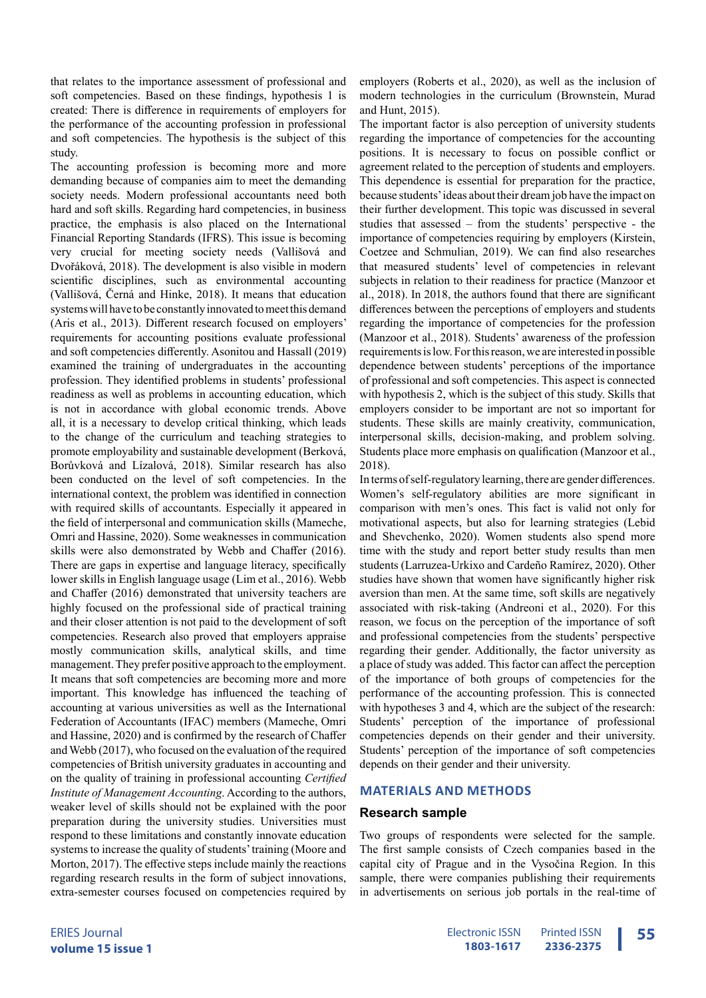that relates to the importance assessment of professional and soft competencies. Based on these findings, hypothesis 1 is created: There is difference in requirements of employers for the performance of the accounting profession in professional and soft competencies. The hypothesis is the subject of this study.

The accounting profession is becoming more and more demanding because of companies aim to meet the demanding society needs. Modern professional accountants need both hard and soft skills. Regarding hard competencies, in business practice, the emphasis is also placed on the International Financial Reporting Standards (IFRS). This issue is becoming very crucial for meeting society needs (Vallišová and Dvořáková, 2018). The development is also visible in modern scientific disciplines, such as environmental accounting (Vallišová, Černá and Hinke, 2018). It means that education systems will have to be constantly innovated to meet this demand (Aris et al., 2013). Different research focused on employers' requirements for accounting positions evaluate professional and soft competencies differently. Asonitou and Hassall (2019) examined the training of undergraduates in the accounting profession. They identified problems in students' professional readiness as well as problems in accounting education, which is not in accordance with global economic trends. Above all, it is a necessary to develop critical thinking, which leads to the change of the curriculum and teaching strategies to promote employability and sustainable development (Berková, Borůvková and Lízalová, 2018). Similar research has also been conducted on the level of soft competencies. In the international context, the problem was identified in connection with required skills of accountants. Especially it appeared in the field of interpersonal and communication skills (Mameche, Omri and Hassine, 2020). Some weaknesses in communication skills were also demonstrated by Webb and Chaffer (2016). There are gaps in expertise and language literacy, specifically lower skills in English language usage (Lim et al., 2016). Webb and Chaffer (2016) demonstrated that university teachers are highly focused on the professional side of practical training and their closer attention is not paid to the development of soft competencies. Research also proved that employers appraise mostly communication skills, analytical skills, and time management. They prefer positive approach to the employment. It means that soft competencies are becoming more and more important. This knowledge has influenced the teaching of accounting at various universities as well as the International Federation of Accountants (IFAC) members (Mameche, Omri and Hassine, 2020) and is confirmed by the research of Chaffer and Webb (2017), who focused on the evaluation of the required competencies of British university graduates in accounting and on the quality of training in professional accounting *Certified Institute of Management Accounting*. According to the authors, weaker level of skills should not be explained with the poor preparation during the university studies. Universities must respond to these limitations and constantly innovate education systems to increase the quality of students' training (Moore and Morton, 2017). The effective steps include mainly the reactions regarding research results in the form of subject innovations, extra-semester courses focused on competencies required by

employers (Roberts et al., 2020), as well as the inclusion of modern technologies in the curriculum (Brownstein, Murad and Hunt, 2015).

The important factor is also perception of university students regarding the importance of competencies for the accounting positions. It is necessary to focus on possible conflict or agreement related to the perception of students and employers. This dependence is essential for preparation for the practice, because students' ideas about their dream job have the impact on their further development. This topic was discussed in several studies that assessed – from the students' perspective - the importance of competencies requiring by employers (Kirstein, Coetzee and Schmulian, 2019). We can find also researches that measured students' level of competencies in relevant subjects in relation to their readiness for practice (Manzoor et al., 2018). In 2018, the authors found that there are significant differences between the perceptions of employers and students regarding the importance of competencies for the profession (Manzoor et al., 2018). Students' awareness of the profession requirements is low. For this reason, we are interested in possible dependence between students' perceptions of the importance of professional and soft competencies. This aspect is connected with hypothesis 2, which is the subject of this study. Skills that employers consider to be important are not so important for students. These skills are mainly creativity, communication, interpersonal skills, decision-making, and problem solving. Students place more emphasis on qualification (Manzoor et al., 2018).

In terms of self-regulatory learning, there are gender differences. Women's self-regulatory abilities are more significant in comparison with men's ones. This fact is valid not only for motivational aspects, but also for learning strategies (Lebid and Shevchenko, 2020). Women students also spend more time with the study and report better study results than men students (Larruzea-Urkixo and Cardeño Ramírez, 2020). Other studies have shown that women have significantly higher risk aversion than men. At the same time, soft skills are negatively associated with risk-taking (Andreoni et al., 2020). For this reason, we focus on the perception of the importance of soft and professional competencies from the students' perspective regarding their gender. Additionally, the factor university as a place of study was added. This factor can affect the perception of the importance of both groups of competencies for the performance of the accounting profession. This is connected with hypotheses 3 and 4, which are the subject of the research: Students' perception of the importance of professional competencies depends on their gender and their university. Students' perception of the importance of soft competencies depends on their gender and their university.

#### **MATERIALS AND METHODS**

#### **Research sample**

Two groups of respondents were selected for the sample. The first sample consists of Czech companies based in the capital city of Prague and in the Vysočina Region. In this sample, there were companies publishing their requirements in advertisements on serious job portals in the real-time of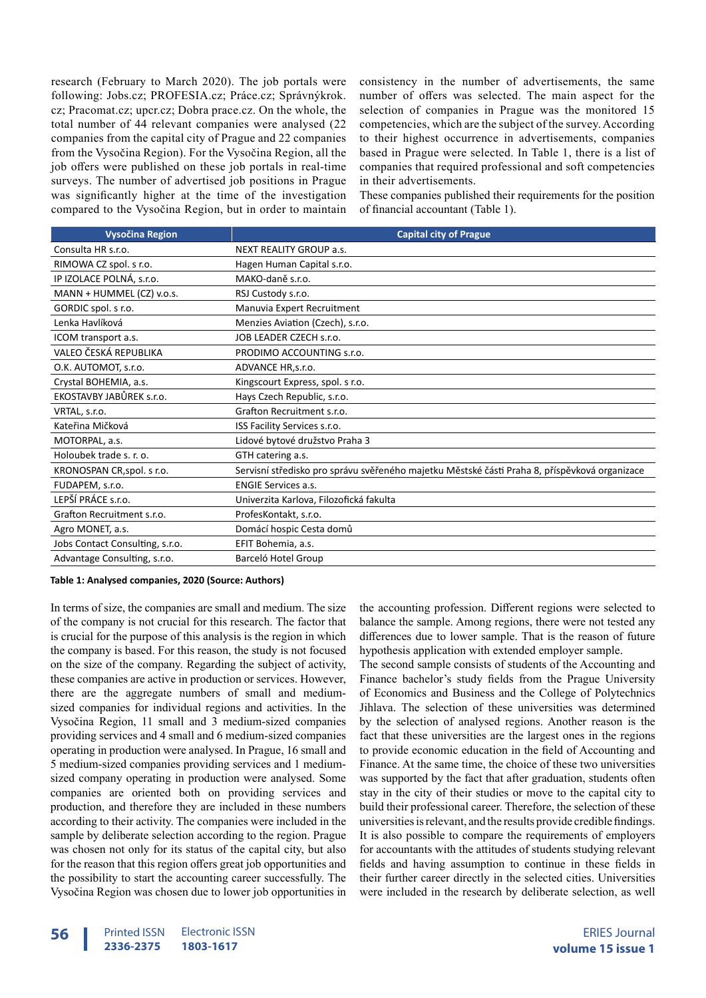research (February to March 2020). The job portals were following: Jobs.cz; PROFESIA.cz; Práce.cz; Správnýkrok. cz; Pracomat.cz; upcr.cz; Dobra prace.cz. On the whole, the total number of 44 relevant companies were analysed (22 companies from the capital city of Prague and 22 companies from the Vysočina Region). For the Vysočina Region, all the job offers were published on these job portals in real-time surveys. The number of advertised job positions in Prague was significantly higher at the time of the investigation compared to the Vysočina Region, but in order to maintain consistency in the number of advertisements, the same number of offers was selected. The main aspect for the selection of companies in Prague was the monitored 15 competencies, which are the subject of the survey. According to their highest occurrence in advertisements, companies based in Prague were selected. In Table 1, there is a list of companies that required professional and soft competencies in their advertisements.

These companies published their requirements for the position of financial accountant (Table 1).

| <b>Vysočina Region</b>          | <b>Capital city of Prague</b>                                                                 |
|---------------------------------|-----------------------------------------------------------------------------------------------|
| Consulta HR s.r.o.              | <b>NEXT REALITY GROUP a.s.</b>                                                                |
| RIMOWA CZ spol. s r.o.          | Hagen Human Capital s.r.o.                                                                    |
| IP IZOLACE POLNÁ, s.r.o.        | MAKO-daně s.r.o.                                                                              |
| MANN + HUMMEL (CZ) v.o.s.       | RSJ Custody s.r.o.                                                                            |
| GORDIC spol. s r.o.             | Manuvia Expert Recruitment                                                                    |
| Lenka Havlíková                 | Menzies Aviation (Czech), s.r.o.                                                              |
| ICOM transport a.s.             | JOB LEADER CZECH s.r.o.                                                                       |
| VALEO ČESKÁ REPUBLIKA           | PRODIMO ACCOUNTING s.r.o.                                                                     |
| O.K. AUTOMOT, s.r.o.            | ADVANCE HR, s.r.o.                                                                            |
| Crystal BOHEMIA, a.s.           | Kingscourt Express, spol. s r.o.                                                              |
| EKOSTAVBY JABŮREK s.r.o.        | Hays Czech Republic, s.r.o.                                                                   |
| VRTAL, s.r.o.                   | Grafton Recruitment s.r.o.                                                                    |
| Kateřina Mičková                | ISS Facility Services s.r.o.                                                                  |
| MOTORPAL, a.s.                  | Lidové bytové družstvo Praha 3                                                                |
| Holoubek trade s. r. o.         | GTH catering a.s.                                                                             |
| KRONOSPAN CR, spol. s r.o.      | Servisní středisko pro správu svěřeného majetku Městské části Praha 8, příspěvková organizace |
| FUDAPEM, s.r.o.                 | <b>ENGIE Services a.s.</b>                                                                    |
| LEPŠÍ PRÁCE s.r.o.              | Univerzita Karlova, Filozofická fakulta                                                       |
| Grafton Recruitment s.r.o.      | ProfesKontakt, s.r.o.                                                                         |
| Agro MONET, a.s.                | Domácí hospic Cesta domů                                                                      |
| Jobs Contact Consulting, s.r.o. | EFIT Bohemia, a.s.                                                                            |
| Advantage Consulting, s.r.o.    | Barceló Hotel Group                                                                           |

**Table 1: Analysed companies, 2020 (Source: Authors)**

In terms of size, the companies are small and medium. The size of the company is not crucial for this research. The factor that is crucial for the purpose of this analysis is the region in which the company is based. For this reason, the study is not focused on the size of the company. Regarding the subject of activity, these companies are active in production or services. However, there are the aggregate numbers of small and mediumsized companies for individual regions and activities. In the Vysočina Region, 11 small and 3 medium-sized companies providing services and 4 small and 6 medium-sized companies operating in production were analysed. In Prague, 16 small and 5 medium-sized companies providing services and 1 mediumsized company operating in production were analysed. Some companies are oriented both on providing services and production, and therefore they are included in these numbers according to their activity. The companies were included in the sample by deliberate selection according to the region. Prague was chosen not only for its status of the capital city, but also for the reason that this region offers great job opportunities and the possibility to start the accounting career successfully. The Vysočina Region was chosen due to lower job opportunities in

the accounting profession. Different regions were selected to balance the sample. Among regions, there were not tested any differences due to lower sample. That is the reason of future hypothesis application with extended employer sample.

The second sample consists of students of the Accounting and Finance bachelor's study fields from the Prague University of Economics and Business and the College of Polytechnics Jihlava. The selection of these universities was determined by the selection of analysed regions. Another reason is the fact that these universities are the largest ones in the regions to provide economic education in the field of Accounting and Finance. At the same time, the choice of these two universities was supported by the fact that after graduation, students often stay in the city of their studies or move to the capital city to build their professional career. Therefore, the selection of these universities is relevant, and the results provide credible findings. It is also possible to compare the requirements of employers for accountants with the attitudes of students studying relevant fields and having assumption to continue in these fields in their further career directly in the selected cities. Universities were included in the research by deliberate selection, as well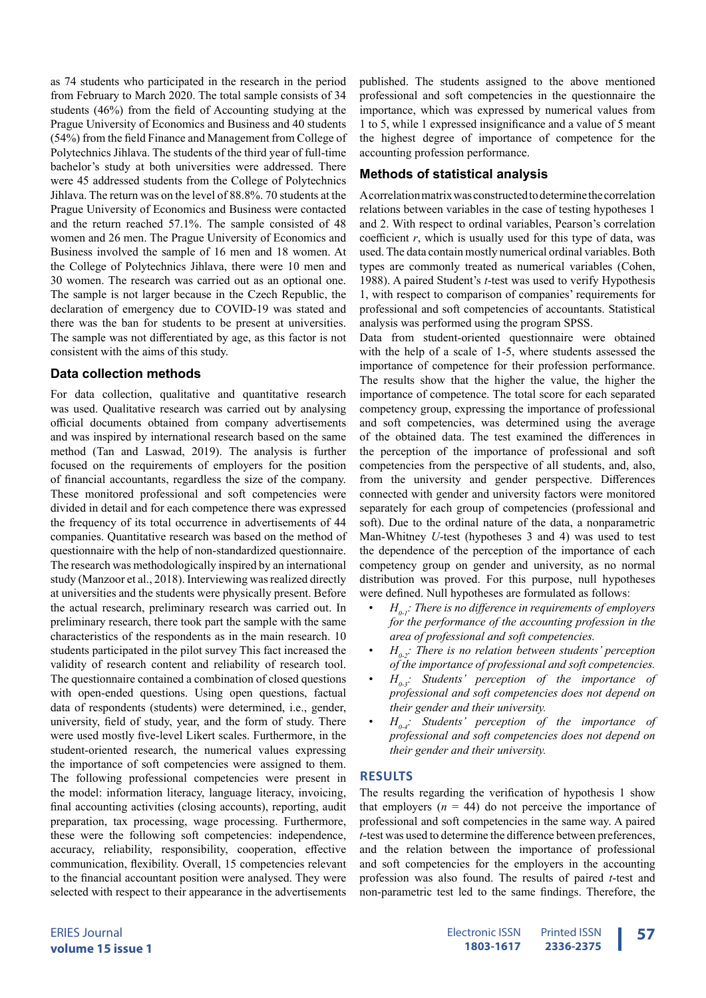as 74 students who participated in the research in the period from February to March 2020. The total sample consists of 34 students (46%) from the field of Accounting studying at the Prague University of Economics and Business and 40 students (54%) from the field Finance and Management from College of Polytechnics Jihlava. The students of the third year of full-time bachelor's study at both universities were addressed. There were 45 addressed students from the College of Polytechnics Jihlava. The return was on the level of 88.8%. 70 students at the Prague University of Economics and Business were contacted and the return reached 57.1%. The sample consisted of 48 women and 26 men. The Prague University of Economics and Business involved the sample of 16 men and 18 women. At the College of Polytechnics Jihlava, there were 10 men and 30 women. The research was carried out as an optional one. The sample is not larger because in the Czech Republic, the declaration of emergency due to COVID-19 was stated and there was the ban for students to be present at universities. The sample was not differentiated by age, as this factor is not consistent with the aims of this study.

#### **Data collection methods**

For data collection, qualitative and quantitative research was used. Qualitative research was carried out by analysing official documents obtained from company advertisements and was inspired by international research based on the same method (Tan and Laswad, 2019). The analysis is further focused on the requirements of employers for the position of financial accountants, regardless the size of the company. These monitored professional and soft competencies were divided in detail and for each competence there was expressed the frequency of its total occurrence in advertisements of 44 companies. Quantitative research was based on the method of questionnaire with the help of non-standardized questionnaire. The research was methodologically inspired by an international study (Manzoor et al., 2018). Interviewing was realized directly at universities and the students were physically present. Before the actual research, preliminary research was carried out. In preliminary research, there took part the sample with the same characteristics of the respondents as in the main research. 10 students participated in the pilot survey This fact increased the validity of research content and reliability of research tool. The questionnaire contained a combination of closed questions with open-ended questions. Using open questions, factual data of respondents (students) were determined, i.e., gender, university, field of study, year, and the form of study. There were used mostly five-level Likert scales. Furthermore, in the student-oriented research, the numerical values expressing the importance of soft competencies were assigned to them. The following professional competencies were present in the model: information literacy, language literacy, invoicing, final accounting activities (closing accounts), reporting, audit preparation, tax processing, wage processing. Furthermore, these were the following soft competencies: independence, accuracy, reliability, responsibility, cooperation, effective communication, flexibility. Overall, 15 competencies relevant to the financial accountant position were analysed. They were selected with respect to their appearance in the advertisements

published. The students assigned to the above mentioned professional and soft competencies in the questionnaire the importance, which was expressed by numerical values from 1 to 5, while 1 expressed insignificance and a value of 5 meant the highest degree of importance of competence for the accounting profession performance.

# **Methods of statistical analysis**

Acorrelation matrix was constructed to determine the correlation relations between variables in the case of testing hypotheses 1 and 2. With respect to ordinal variables, Pearson's correlation coefficient *r*, which is usually used for this type of data, was used. The data contain mostly numerical ordinal variables. Both types are commonly treated as numerical variables (Cohen, 1988). A paired Student's *t*-test was used to verify Hypothesis 1, with respect to comparison of companies' requirements for professional and soft competencies of accountants. Statistical analysis was performed using the program SPSS.

Data from student-oriented questionnaire were obtained with the help of a scale of 1-5, where students assessed the importance of competence for their profession performance. The results show that the higher the value, the higher the importance of competence. The total score for each separated competency group, expressing the importance of professional and soft competencies, was determined using the average of the obtained data. The test examined the differences in the perception of the importance of professional and soft competencies from the perspective of all students, and, also, from the university and gender perspective. Differences connected with gender and university factors were monitored separately for each group of competencies (professional and soft). Due to the ordinal nature of the data, a nonparametric Man-Whitney *U*-test (hypotheses 3 and 4) was used to test the dependence of the perception of the importance of each competency group on gender and university, as no normal distribution was proved. For this purpose, null hypotheses were defined. Null hypotheses are formulated as follows:

- $H_{0,i}$ : There is no difference in requirements of employers *for the performance of the accounting profession in the area of professional and soft competencies.*
- $H_0$ : There is no relation between students' perception *of the importance of professional and soft competencies.*
- $H_{0,3}$ : Students' perception of the importance of *professional and soft competencies does not depend on their gender and their university.*
- $H_{0,4}$ : Students' perception of the importance of *professional and soft competencies does not depend on their gender and their university.*

## **RESULTS**

The results regarding the verification of hypothesis 1 show that employers  $(n = 44)$  do not perceive the importance of professional and soft competencies in the same way. A paired *t*-test was used to determine the difference between preferences, and the relation between the importance of professional and soft competencies for the employers in the accounting profession was also found. The results of paired *t*-test and non-parametric test led to the same findings. Therefore, the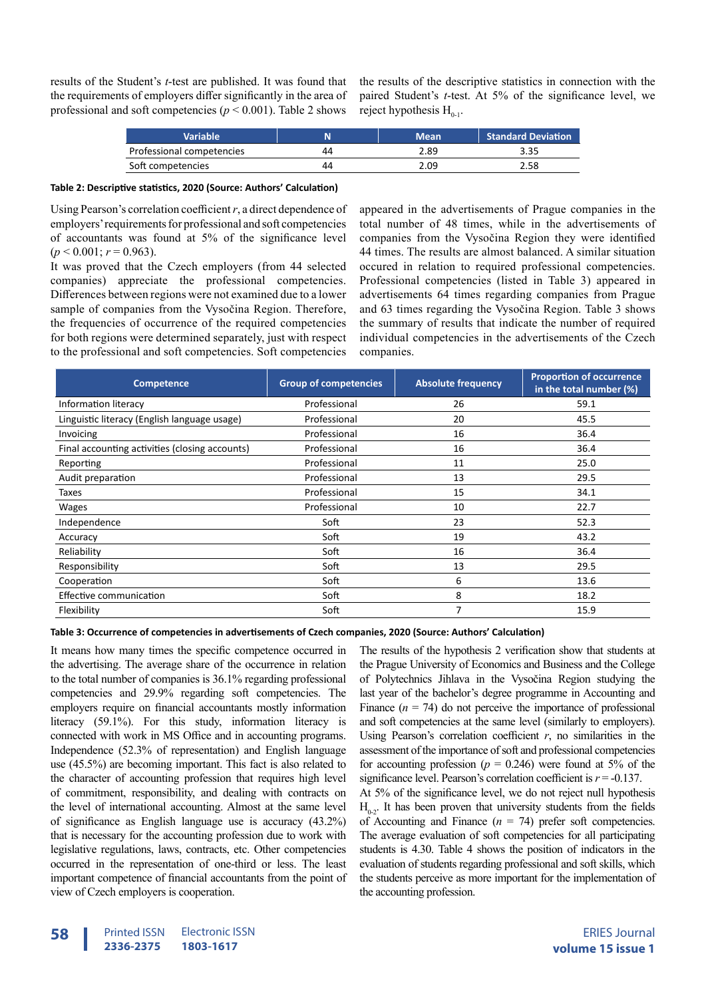results of the Student's *t*-test are published. It was found that the requirements of employers differ significantly in the area of professional and soft competencies ( $p < 0.001$ ). Table 2 shows

the results of the descriptive statistics in connection with the paired Student's *t*-test. At 5% of the significance level, we reject hypothesis  $H_{0,1}$ .

| <b>Variable</b>           |    | <b>Mean</b> | <b>Standard Deviation</b> |
|---------------------------|----|-------------|---------------------------|
| Professional competencies | 44 | 2.89        | 3.35                      |
| Soft competencies         | 44 | 2.09        | 2.58                      |

#### **Table 2: Descriptive statistics, 2020 (Source: Authors' Calculation)**

Using Pearson's correlation coefficient *r*, a direct dependence of employers' requirements for professional and soft competencies of accountants was found at 5% of the significance level  $(p < 0.001; r = 0.963)$ .

It was proved that the Czech employers (from 44 selected companies) appreciate the professional competencies. Differences between regions were not examined due to a lower sample of companies from the Vysočina Region. Therefore, the frequencies of occurrence of the required competencies for both regions were determined separately, just with respect to the professional and soft competencies. Soft competencies

appeared in the advertisements of Prague companies in the total number of 48 times, while in the advertisements of companies from the Vysočina Region they were identified 44 times. The results are almost balanced. A similar situation occured in relation to required professional competencies. Professional competencies (listed in Table 3) appeared in advertisements 64 times regarding companies from Prague and 63 times regarding the Vysočina Region. Table 3 shows the summary of results that indicate the number of required individual competencies in the advertisements of the Czech companies.

| Competence                                     | <b>Group of competencies</b> | <b>Absolute frequency</b> | <b>Proportion of occurrence</b><br>in the total number (%) |
|------------------------------------------------|------------------------------|---------------------------|------------------------------------------------------------|
| Information literacy                           | Professional                 | 26                        | 59.1                                                       |
| Linguistic literacy (English language usage)   | Professional                 | 20                        | 45.5                                                       |
| Invoicing                                      | Professional                 | 16                        | 36.4                                                       |
| Final accounting activities (closing accounts) | Professional                 | 16                        | 36.4                                                       |
| Reporting                                      | Professional                 | 11                        | 25.0                                                       |
| Audit preparation                              | Professional                 | 13                        | 29.5                                                       |
| Taxes                                          | Professional                 | 15                        | 34.1                                                       |
| Wages                                          | Professional                 | 10                        | 22.7                                                       |
| Independence                                   | Soft                         | 23                        | 52.3                                                       |
| Accuracy                                       | Soft                         | 19                        | 43.2                                                       |
| Reliability                                    | Soft                         | 16                        | 36.4                                                       |
| Responsibility                                 | Soft                         | 13                        | 29.5                                                       |
| Cooperation                                    | Soft                         | 6                         | 13.6                                                       |
| Effective communication                        | Soft                         | 8                         | 18.2                                                       |
| Flexibility                                    | Soft                         | 7                         | 15.9                                                       |

#### **Table 3: Occurrence of competencies in advertisements of Czech companies, 2020 (Source: Authors' Calculation)**

It means how many times the specific competence occurred in the advertising. The average share of the occurrence in relation to the total number of companies is 36.1% regarding professional competencies and 29.9% regarding soft competencies. The employers require on financial accountants mostly information literacy (59.1%). For this study, information literacy is connected with work in MS Office and in accounting programs. Independence (52.3% of representation) and English language use (45.5%) are becoming important. This fact is also related to the character of accounting profession that requires high level of commitment, responsibility, and dealing with contracts on the level of international accounting. Almost at the same level of significance as English language use is accuracy (43.2%) that is necessary for the accounting profession due to work with legislative regulations, laws, contracts, etc. Other competencies occurred in the representation of one-third or less. The least important competence of financial accountants from the point of view of Czech employers is cooperation.

The results of the hypothesis 2 verification show that students at the Prague University of Economics and Business and the College of Polytechnics Jihlava in the Vysočina Region studying the last year of the bachelor's degree programme in Accounting and Finance  $(n = 74)$  do not perceive the importance of professional and soft competencies at the same level (similarly to employers). Using Pearson's correlation coefficient *r*, no similarities in the assessment of the importance of soft and professional competencies for accounting profession ( $p = 0.246$ ) were found at 5% of the significance level. Pearson's correlation coefficient is  $r = -0.137$ .

At 5% of the significance level, we do not reject null hypothesis  $H_{0,2}$ . It has been proven that university students from the fields of Accounting and Finance  $(n = 74)$  prefer soft competencies. The average evaluation of soft competencies for all participating students is 4.30. Table 4 shows the position of indicators in the evaluation of students regarding professional and soft skills, which the students perceive as more important for the implementation of the accounting profession.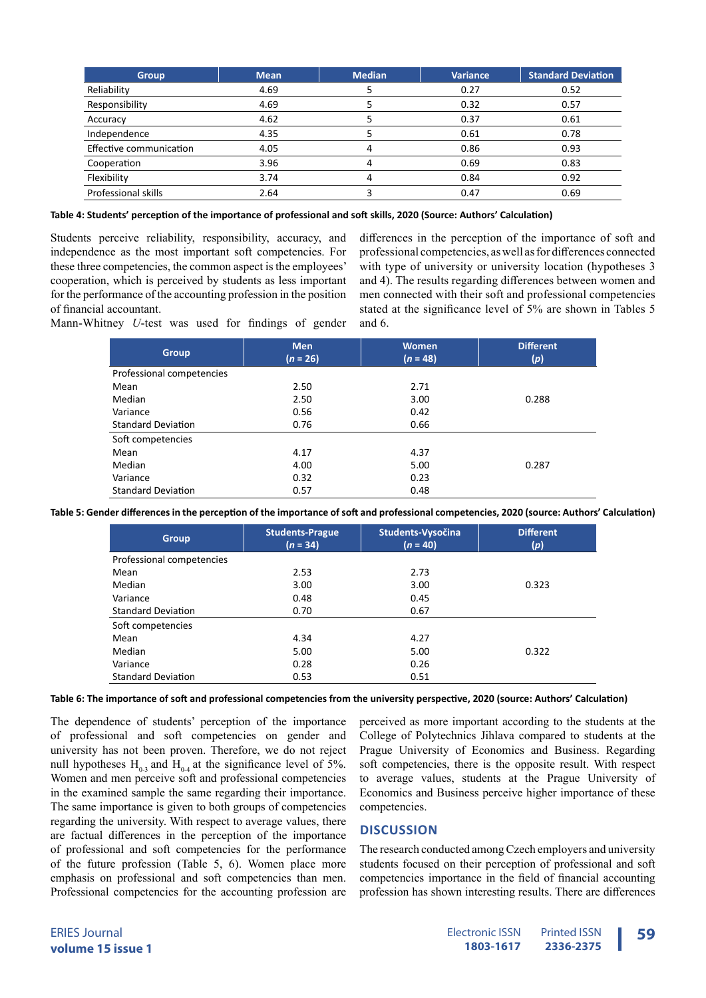| <b>Group</b>            | <b>Mean</b> | <b>Median</b> | Variance | <b>Standard Deviation</b> |
|-------------------------|-------------|---------------|----------|---------------------------|
| Reliability             | 4.69        |               | 0.27     | 0.52                      |
| Responsibility          | 4.69        |               | 0.32     | 0.57                      |
| Accuracy                | 4.62        |               | 0.37     | 0.61                      |
| Independence            | 4.35        |               | 0.61     | 0.78                      |
| Effective communication | 4.05        | 4             | 0.86     | 0.93                      |
| Cooperation             | 3.96        | 4             | 0.69     | 0.83                      |
| Flexibility             | 3.74        | 4             | 0.84     | 0.92                      |
| Professional skills     | 2.64        |               | 0.47     | 0.69                      |

**Table 4: Students' perception of the importance of professional and soft skills, 2020 (Source: Authors' Calculation)**

Students perceive reliability, responsibility, accuracy, and independence as the most important soft competencies. For these three competencies, the common aspect is the employees' cooperation, which is perceived by students as less important for the performance of the accounting profession in the position of financial accountant.

differences in the perception of the importance of soft and professional competencies, as well as for differences connected with type of university or university location (hypotheses 3 and 4). The results regarding differences between women and men connected with their soft and professional competencies stated at the significance level of 5% are shown in Tables 5 and 6.

Mann-Whitney *U*-test was used for findings of gender

| <b>Group</b>              | <b>Men</b><br>$(n = 26)$ | <b>Women</b><br>$(n = 48)$ | <b>Different</b><br>(p) |
|---------------------------|--------------------------|----------------------------|-------------------------|
| Professional competencies |                          |                            |                         |
| Mean                      | 2.50                     | 2.71                       |                         |
| Median                    | 2.50                     | 3.00                       | 0.288                   |
| Variance                  | 0.56                     | 0.42                       |                         |
| <b>Standard Deviation</b> | 0.76                     | 0.66                       |                         |
| Soft competencies         |                          |                            |                         |
| Mean                      | 4.17                     | 4.37                       |                         |
| Median                    | 4.00                     | 5.00                       | 0.287                   |
| Variance                  | 0.32                     | 0.23                       |                         |
| <b>Standard Deviation</b> | 0.57                     | 0.48                       |                         |

**Table 5: Gender differences in the perception of the importance of soft and professional competencies, 2020 (source: Authors' Calculation)**

| <b>Group</b>              | <b>Students-Prague</b><br>$(n = 34)$ | Students-Vysočina<br>$(n = 40)$ | <b>Different</b><br>(p) |
|---------------------------|--------------------------------------|---------------------------------|-------------------------|
| Professional competencies |                                      |                                 |                         |
| Mean                      | 2.53                                 | 2.73                            |                         |
| Median                    | 3.00                                 | 3.00                            | 0.323                   |
| Variance                  | 0.48                                 | 0.45                            |                         |
| <b>Standard Deviation</b> | 0.70                                 | 0.67                            |                         |
| Soft competencies         |                                      |                                 |                         |
| Mean                      | 4.34                                 | 4.27                            |                         |
| Median                    | 5.00                                 | 5.00                            | 0.322                   |
| Variance                  | 0.28                                 | 0.26                            |                         |
| <b>Standard Deviation</b> | 0.53                                 | 0.51                            |                         |

**Table 6: The importance of soft and professional competencies from the university perspective, 2020 (source: Authors' Calculation)**

The dependence of students' perception of the importance of professional and soft competencies on gender and university has not been proven. Therefore, we do not reject null hypotheses  $H_{0-3}$  and  $H_{0-4}$  at the significance level of 5%. Women and men perceive soft and professional competencies in the examined sample the same regarding their importance. The same importance is given to both groups of competencies regarding the university. With respect to average values, there are factual differences in the perception of the importance of professional and soft competencies for the performance of the future profession (Table 5, 6). Women place more emphasis on professional and soft competencies than men. Professional competencies for the accounting profession are

perceived as more important according to the students at the College of Polytechnics Jihlava compared to students at the Prague University of Economics and Business. Regarding soft competencies, there is the opposite result. With respect to average values, students at the Prague University of Economics and Business perceive higher importance of these competencies.

## **DISCUSSION**

The research conducted among Czech employers and university students focused on their perception of professional and soft competencies importance in the field of financial accounting profession has shown interesting results. There are differences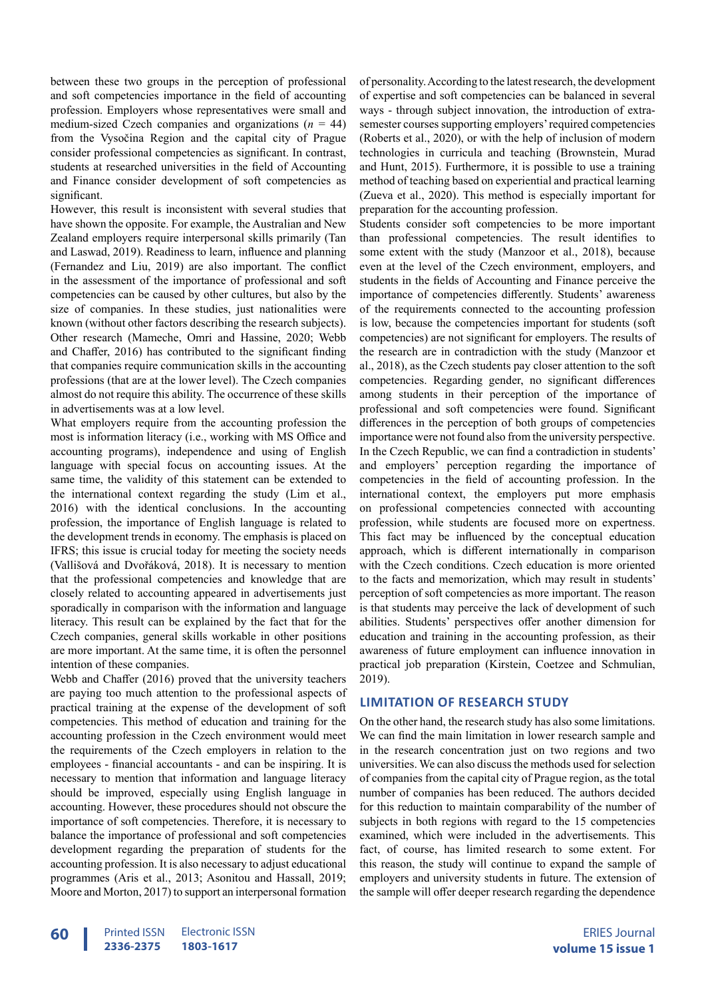between these two groups in the perception of professional and soft competencies importance in the field of accounting profession. Employers whose representatives were small and medium-sized Czech companies and organizations  $(n = 44)$ from the Vysočina Region and the capital city of Prague consider professional competencies as significant. In contrast, students at researched universities in the field of Accounting and Finance consider development of soft competencies as significant.

However, this result is inconsistent with several studies that have shown the opposite. For example, the Australian and New Zealand employers require interpersonal skills primarily (Tan and Laswad, 2019). Readiness to learn, influence and planning (Fernandez and Liu, 2019) are also important. The conflict in the assessment of the importance of professional and soft competencies can be caused by other cultures, but also by the size of companies. In these studies, just nationalities were known (without other factors describing the research subjects). Other research (Mameche, Omri and Hassine, 2020; Webb and Chaffer, 2016) has contributed to the significant finding that companies require communication skills in the accounting professions (that are at the lower level). The Czech companies almost do not require this ability. The occurrence of these skills in advertisements was at a low level.

What employers require from the accounting profession the most is information literacy (i.e., working with MS Office and accounting programs), independence and using of English language with special focus on accounting issues. At the same time, the validity of this statement can be extended to the international context regarding the study (Lim et al., 2016) with the identical conclusions. In the accounting profession, the importance of English language is related to the development trends in economy. The emphasis is placed on IFRS; this issue is crucial today for meeting the society needs (Vallišová and Dvořáková, 2018). It is necessary to mention that the professional competencies and knowledge that are closely related to accounting appeared in advertisements just sporadically in comparison with the information and language literacy. This result can be explained by the fact that for the Czech companies, general skills workable in other positions are more important. At the same time, it is often the personnel intention of these companies.

Webb and Chaffer (2016) proved that the university teachers are paying too much attention to the professional aspects of practical training at the expense of the development of soft competencies. This method of education and training for the accounting profession in the Czech environment would meet the requirements of the Czech employers in relation to the employees - financial accountants - and can be inspiring. It is necessary to mention that information and language literacy should be improved, especially using English language in accounting. However, these procedures should not obscure the importance of soft competencies. Therefore, it is necessary to balance the importance of professional and soft competencies development regarding the preparation of students for the accounting profession. It is also necessary to adjust educational programmes (Aris et al., 2013; Asonitou and Hassall, 2019; Moore and Morton, 2017) to support an interpersonal formation

of personality. According to the latest research, the development of expertise and soft competencies can be balanced in several ways - through subject innovation, the introduction of extrasemester courses supporting employers' required competencies (Roberts et al., 2020), or with the help of inclusion of modern technologies in curricula and teaching (Brownstein, Murad and Hunt, 2015). Furthermore, it is possible to use a training method of teaching based on experiential and practical learning (Zueva et al., 2020). This method is especially important for preparation for the accounting profession.

Students consider soft competencies to be more important than professional competencies. The result identifies to some extent with the study (Manzoor et al., 2018), because even at the level of the Czech environment, employers, and students in the fields of Accounting and Finance perceive the importance of competencies differently. Students' awareness of the requirements connected to the accounting profession is low, because the competencies important for students (soft competencies) are not significant for employers. The results of the research are in contradiction with the study (Manzoor et al., 2018), as the Czech students pay closer attention to the soft competencies. Regarding gender, no significant differences among students in their perception of the importance of professional and soft competencies were found. Significant differences in the perception of both groups of competencies importance were not found also from the university perspective. In the Czech Republic, we can find a contradiction in students' and employers' perception regarding the importance of competencies in the field of accounting profession. In the international context, the employers put more emphasis on professional competencies connected with accounting profession, while students are focused more on expertness. This fact may be influenced by the conceptual education approach, which is different internationally in comparison with the Czech conditions. Czech education is more oriented to the facts and memorization, which may result in students' perception of soft competencies as more important. The reason is that students may perceive the lack of development of such abilities. Students' perspectives offer another dimension for education and training in the accounting profession, as their awareness of future employment can influence innovation in practical job preparation (Kirstein, Coetzee and Schmulian, 2019).

## **LIMITATION OF RESEARCH STUDY**

On the other hand, the research study has also some limitations. We can find the main limitation in lower research sample and in the research concentration just on two regions and two universities. We can also discuss the methods used for selection of companies from the capital city of Prague region, as the total number of companies has been reduced. The authors decided for this reduction to maintain comparability of the number of subjects in both regions with regard to the 15 competencies examined, which were included in the advertisements. This fact, of course, has limited research to some extent. For this reason, the study will continue to expand the sample of employers and university students in future. The extension of the sample will offer deeper research regarding the dependence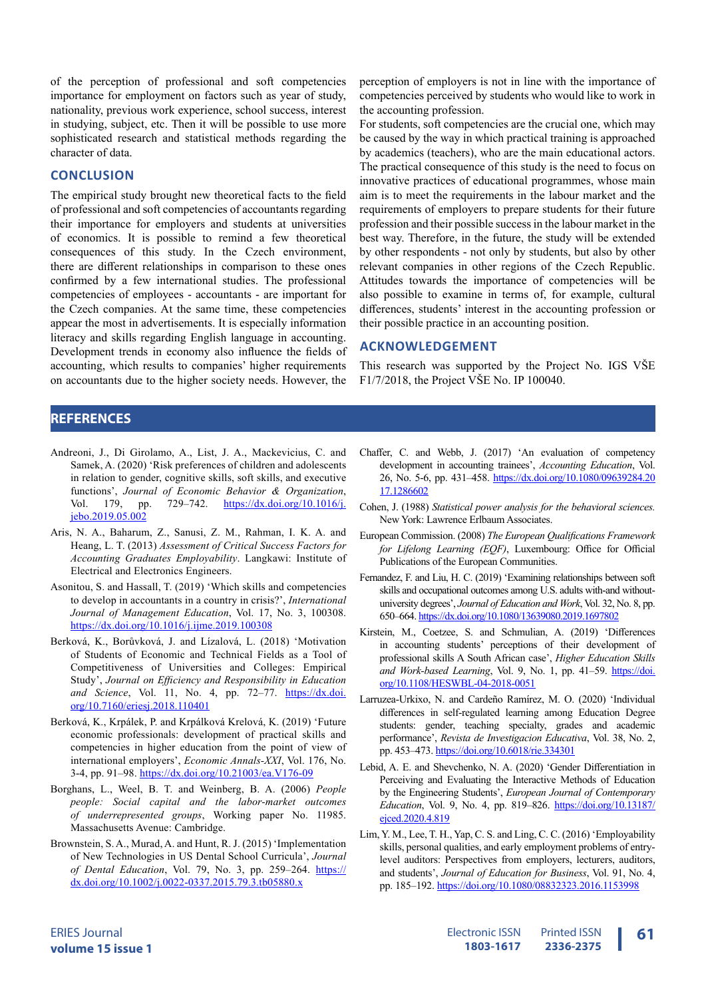of the perception of professional and soft competencies importance for employment on factors such as year of study, nationality, previous work experience, school success, interest in studying, subject, etc. Then it will be possible to use more sophisticated research and statistical methods regarding the character of data.

#### **CONCLUSION**

The empirical study brought new theoretical facts to the field of professional and soft competencies of accountants regarding their importance for employers and students at universities of economics. It is possible to remind a few theoretical consequences of this study. In the Czech environment, there are different relationships in comparison to these ones confirmed by a few international studies. The professional competencies of employees - accountants - are important for the Czech companies. At the same time, these competencies appear the most in advertisements. It is especially information literacy and skills regarding English language in accounting. Development trends in economy also influence the fields of accounting, which results to companies' higher requirements on accountants due to the higher society needs. However, the perception of employers is not in line with the importance of competencies perceived by students who would like to work in the accounting profession.

For students, soft competencies are the crucial one, which may be caused by the way in which practical training is approached by academics (teachers), who are the main educational actors. The practical consequence of this study is the need to focus on innovative practices of educational programmes, whose main aim is to meet the requirements in the labour market and the requirements of employers to prepare students for their future profession and their possible success in the labour market in the best way. Therefore, in the future, the study will be extended by other respondents - not only by students, but also by other relevant companies in other regions of the Czech Republic. Attitudes towards the importance of competencies will be also possible to examine in terms of, for example, cultural differences, students' interest in the accounting profession or their possible practice in an accounting position.

#### **ACKNOWLEDGEMENT**

This research was supported by the Project No. IGS VŠE F1/7/2018, the Project VŠE No. IP 100040.

#### **REFERENCES**

- Andreoni, J., Di Girolamo, A., List, J. A., Mackevicius, C. and Samek, A. (2020) 'Risk preferences of children and adolescents in relation to gender, cognitive skills, soft skills, and executive functions', *Journal of Economic Behavior & Organization*, Vol. 179, pp. 729-742. [https://dx.doi.org/10.1016/j.](https://dx.doi.org/10.1016/j.jebo.2019.05.002) [jebo.2019.05.002](https://dx.doi.org/10.1016/j.jebo.2019.05.002)
- Aris, N. A., Baharum, Z., Sanusi, Z. M., Rahman, I. K. A. and Heang, L. T. (2013) *Assessment of Critical Success Factors for Accounting Graduates Employability*. Langkawi: Institute of Electrical and Electronics Engineers.
- Asonitou, S. and Hassall, T. (2019) 'Which skills and competencies to develop in accountants in a country in crisis?', *International Journal of Management Education*, Vol. 17, No. 3, 100308. <https://dx.doi.org/10.1016/j.ijme.2019.100308>
- Berková, K., Borůvková, J. and Lízalová, L. (2018) 'Motivation of Students of Economic and Technical Fields as a Tool of Competitiveness of Universities and Colleges: Empirical Study', *Journal on Efficiency and Responsibility in Education*  and Science, Vol. 11, No. 4, pp. 72-77. [https://dx.doi.](https://dx.doi.org/10.7160/eriesj.2018.110401) [org/10.7160/eriesj.2018.110401](https://dx.doi.org/10.7160/eriesj.2018.110401)
- Berková, K., Krpálek, P. and Krpálková Krelová, K. (2019) 'Future economic professionals: development of practical skills and competencies in higher education from the point of view of international employers', *Economic Annals-XXI*, Vol. 176, No. 3-4, pp. 91–98. <https://dx.doi.org/10.21003/ea.V176-09>
- Borghans, L., Weel, B. T. and Weinberg, B. A. (2006) *People people: Social capital and the labor-market outcomes of underrepresented groups*, Working paper No. 11985. Massachusetts Avenue: Cambridge.
- Brownstein, S. A., Murad, A. and Hunt, R. J. (2015) 'Implementation of New Technologies in US Dental School Curricula', *Journal of Dental Education*, Vol. 79, No. 3, pp. 259-264. [https://](https://dx.doi.org/10.1002/j.0022-0337.2015.79.3.tb05880.x) [dx.doi.org/10.1002/j.0022-0337.2015.79.3.tb05880.x](https://dx.doi.org/10.1002/j.0022-0337.2015.79.3.tb05880.x)
- Chaffer, C. and Webb, J. (2017) 'An evaluation of competency development in accounting trainees', *Accounting Education*, Vol. 26, No. 5-6, pp. 431–458. [https://dx.doi.org/10.1080/09639284.20](https://dx.doi.org/10.1080/09639284.2017.1286602) [17.1286602](https://dx.doi.org/10.1080/09639284.2017.1286602)
- Cohen, J. (1988) *Statistical power analysis for the behavioral sciences.* New York: Lawrence Erlbaum Associates.
- European Commission. (2008) *The European Qualifications Framework for Lifelong Learning (EQF)*, Luxembourg: Office for Official Publications of the European Communities.
- Fernandez, F. and Liu, H. C. (2019) 'Examining relationships between soft skills and occupational outcomes among U.S. adults with-and withoutuniversity degrees', *Journal of Education and Work*, Vol. 32, No. 8, pp. 650–664.<https://dx.doi.org/10.1080/13639080.2019.1697802>
- Kirstein, M., Coetzee, S. and Schmulian, A. (2019) 'Differences in accounting students' perceptions of their development of professional skills A South African case', *Higher Education Skills*  and Work-based Learning, Vol. 9, No. 1, pp. 41-59. [https://doi.](https://doi.org/10.1108/HESWBL-04-2018-0051) [org/10.1108/HESWBL-04-2018-0051](https://doi.org/10.1108/HESWBL-04-2018-0051)
- Larruzea-Urkixo, N. and Cardeño Ramírez, M. O. (2020) 'Individual differences in self-regulated learning among Education Degree students: gender, teaching specialty, grades and academic performance', *Revista de Investigacion Educativa*, Vol. 38, No. 2, pp. 453–473.<https://doi.org/10.6018/rie.334301>
- Lebid, A. E. and Shevchenko, N. A. (2020) 'Gender Differentiation in Perceiving and Evaluating the Interactive Methods of Education by the Engineering Students', *European Journal of Contemporary Education*, Vol. 9, No. 4, pp. 819–826. [https://doi.org/10.13187/](https://doi.org/10.13187/ejced.2020.4.819) [ejced.2020.4.819](https://doi.org/10.13187/ejced.2020.4.819)
- Lim, Y. M., Lee, T. H., Yap, C. S. and Ling, C. C. (2016) 'Employability skills, personal qualities, and early employment problems of entrylevel auditors: Perspectives from employers, lecturers, auditors, and students', *Journal of Education for Business*, Vol. 91, No. 4, pp. 185–192. <https://doi.org/10.1080/08832323.2016.1153998>